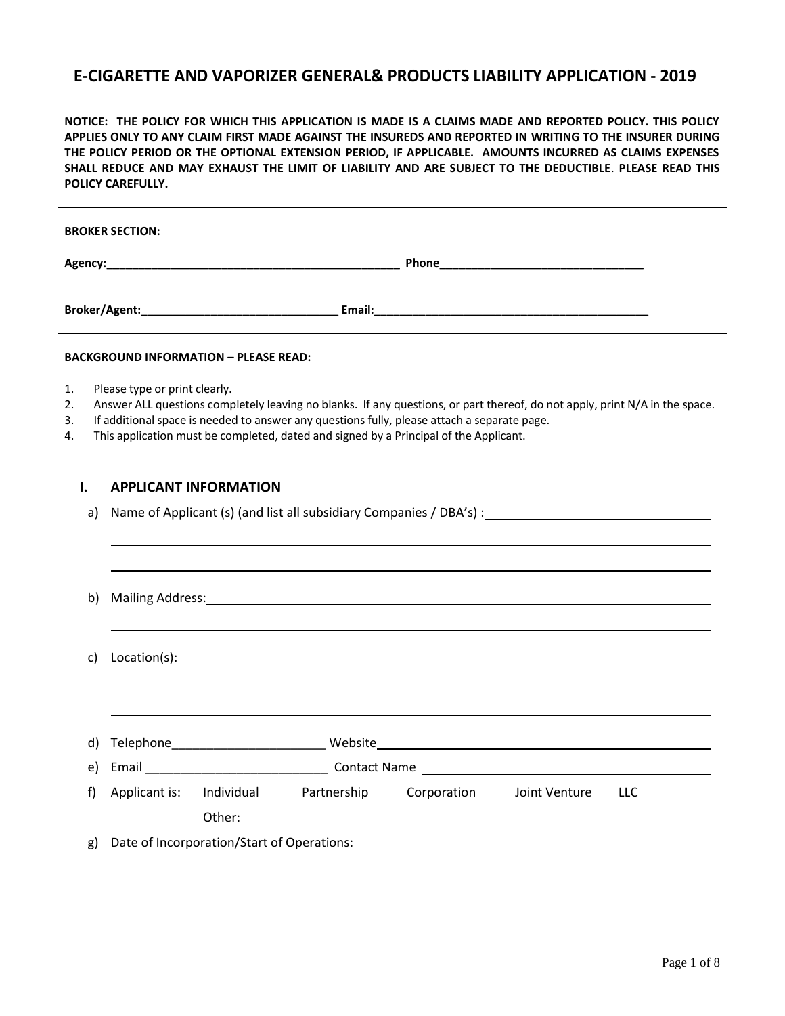# **E-CIGARETTE AND VAPORIZER GENERAL& PRODUCTS LIABILITY APPLICATION - 2019**

**NOTICE: THE POLICY FOR WHICH THIS APPLICATION IS MADE IS A CLAIMS MADE AND REPORTED POLICY. THIS POLICY APPLIES ONLY TO ANY CLAIM FIRST MADE AGAINST THE INSUREDS AND REPORTED IN WRITING TO THE INSURER DURING THE POLICY PERIOD OR THE OPTIONAL EXTENSION PERIOD, IF APPLICABLE. AMOUNTS INCURRED AS CLAIMS EXPENSES SHALL REDUCE AND MAY EXHAUST THE LIMIT OF LIABILITY AND ARE SUBJECT TO THE DEDUCTIBLE**. **PLEASE READ THIS POLICY CAREFULLY.**

| <b>BROKER SECTION:</b>                    |                                                                                                                           |
|-------------------------------------------|---------------------------------------------------------------------------------------------------------------------------|
|                                           | Phone                                                                                                                     |
| Broker/Agent:____________________________ | Email:<br>the contract of the contract of the contract of the contract of the contract of the contract of the contract of |

#### **BACKGROUND INFORMATION – PLEASE READ:**

- 1. Please type or print clearly.
- 2. Answer ALL questions completely leaving no blanks. If any questions, or part thereof, do not apply, print N/A in the space.
- 3. If additional space is needed to answer any questions fully, please attach a separate page.
- 4. This application must be completed, dated and signed by a Principal of the Applicant.

#### **I. APPLICANT INFORMATION**

a) Name of Applicant (s) (and list all subsidiary Companies / DBA's) :

| C)    |                          |  |                                                                                  |  |
|-------|--------------------------|--|----------------------------------------------------------------------------------|--|
|       |                          |  |                                                                                  |  |
|       |                          |  |                                                                                  |  |
|       |                          |  |                                                                                  |  |
| $f$ ) | Applicant is: Individual |  | Partnership Corporation Joint Venture LLC                                        |  |
|       |                          |  |                                                                                  |  |
|       |                          |  | g) Date of Incorporation/Start of Operations: __________________________________ |  |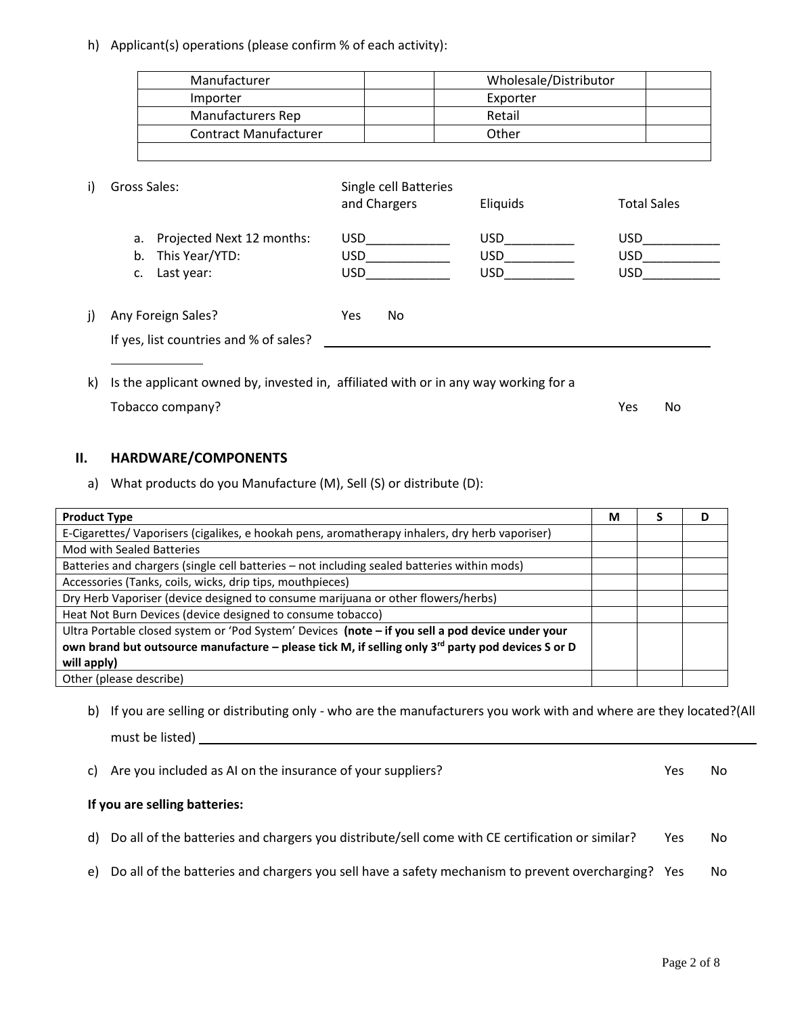h) Applicant(s) operations (please confirm % of each activity):

| Manufacturer                                                                           |                                       | Wholesale/Distributor        |                                |
|----------------------------------------------------------------------------------------|---------------------------------------|------------------------------|--------------------------------|
| Importer                                                                               |                                       | Exporter                     |                                |
| Manufacturers Rep                                                                      |                                       | Retail                       |                                |
| <b>Contract Manufacturer</b>                                                           |                                       | Other                        |                                |
| i)<br>Gross Sales:                                                                     | Single cell Batteries<br>and Chargers | Eliquids                     | <b>Total Sales</b>             |
| Projected Next 12 months:<br>a.                                                        | USD                                   | <b>USD</b>                   | <b>USD</b>                     |
| This Year/YTD:<br>b.<br>Last year:<br>c.                                               | USD<br>USD <b>Santa</b>               | $\mathsf{USD}$<br><b>USD</b> | USD <sub>b</sub><br><b>USD</b> |
| Any Foreign Sales?<br>j)                                                               | <b>Yes</b><br>No.                     |                              |                                |
| If yes, list countries and % of sales?                                                 |                                       |                              |                                |
| k) Is the applicant owned by, invested in, affiliated with or in any way working for a |                                       |                              |                                |
| Tobacco company?                                                                       |                                       |                              | Yes<br>No                      |

## **II. HARDWARE/COMPONENTS**

a) What products do you Manufacture (M), Sell (S) or distribute (D):

| <b>Product Type</b>                                                                                           | М | S | D |
|---------------------------------------------------------------------------------------------------------------|---|---|---|
| E-Cigarettes/Vaporisers (cigalikes, e hookah pens, aromatherapy inhalers, dry herb vaporiser)                 |   |   |   |
| Mod with Sealed Batteries                                                                                     |   |   |   |
| Batteries and chargers (single cell batteries - not including sealed batteries within mods)                   |   |   |   |
| Accessories (Tanks, coils, wicks, drip tips, mouthpieces)                                                     |   |   |   |
| Dry Herb Vaporiser (device designed to consume marijuana or other flowers/herbs)                              |   |   |   |
| Heat Not Burn Devices (device designed to consume tobacco)                                                    |   |   |   |
| Ultra Portable closed system or 'Pod System' Devices (note - if you sell a pod device under your              |   |   |   |
| own brand but outsource manufacture – please tick M, if selling only 3 <sup>rd</sup> party pod devices S or D |   |   |   |
| will apply)                                                                                                   |   |   |   |
| Other (please describe)                                                                                       |   |   |   |

b) If you are selling or distributing only - who are the manufacturers you work with and where are they located?(All must be listed)

| c) Are you included as AI on the insurance of your suppliers?                                         | Yes  | No |
|-------------------------------------------------------------------------------------------------------|------|----|
| If you are selling batteries:                                                                         |      |    |
| d) Do all of the batteries and chargers you distribute/sell come with CE certification or similar?    | Yes. | No |
| e) Do all of the batteries and chargers you sell have a safety mechanism to prevent overcharging? Yes |      | No |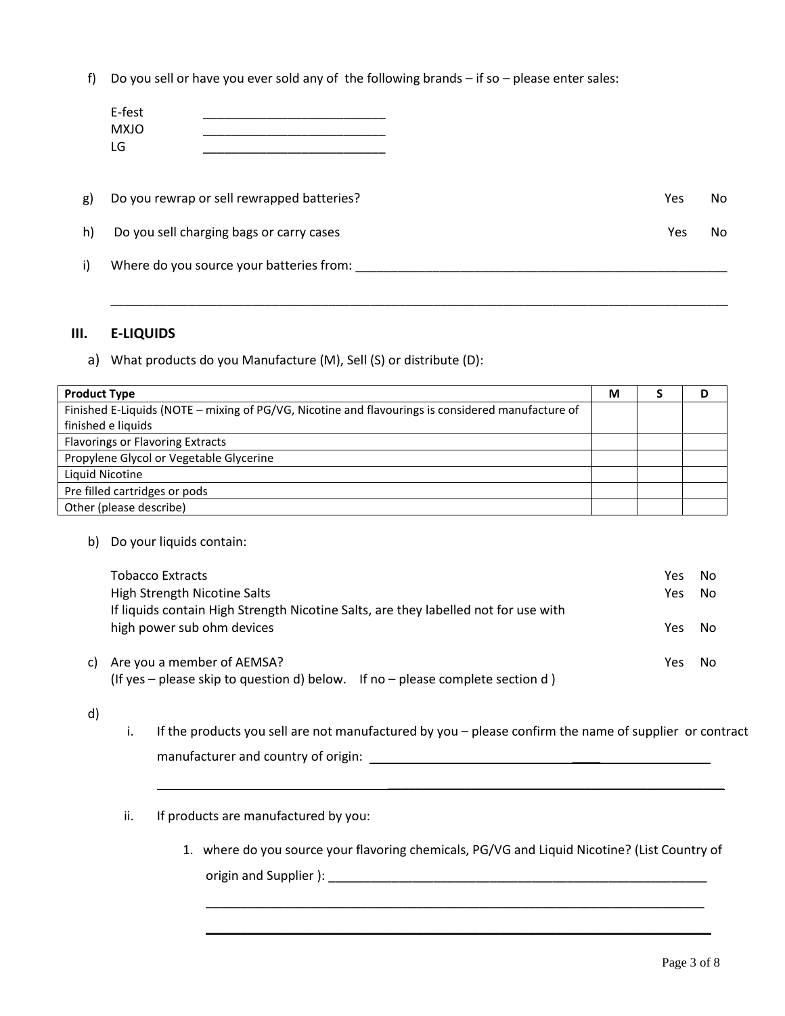f) Do you sell or have you ever sold any of the following brands – if so – please enter sales:

|              | E-fest<br><b>MXJO</b><br>LG                |            |    |
|--------------|--------------------------------------------|------------|----|
| g)           | Do you rewrap or sell rewrapped batteries? | <b>Yes</b> | No |
| h)           | Do you sell charging bags or carry cases   | Yes        | No |
| $\mathsf{i}$ | Where do you source your batteries from:   |            |    |

\_\_\_\_\_\_\_\_\_\_\_\_\_\_\_\_\_\_\_\_\_\_\_\_\_\_\_\_\_\_\_\_\_\_\_\_\_\_\_\_\_\_\_\_\_\_\_\_\_\_\_\_\_\_\_\_\_\_\_\_\_\_\_\_\_\_\_\_\_\_\_\_\_\_\_\_\_\_\_\_\_\_\_\_\_\_\_\_

#### **III. E-LIQUIDS**

a) What products do you Manufacture (M), Sell (S) or distribute (D):

| <b>Product Type</b>                                                                               | М | D |
|---------------------------------------------------------------------------------------------------|---|---|
| Finished E-Liquids (NOTE - mixing of PG/VG, Nicotine and flavourings is considered manufacture of |   |   |
| finished e liquids                                                                                |   |   |
| <b>Flavorings or Flavoring Extracts</b>                                                           |   |   |
| Propylene Glycol or Vegetable Glycerine                                                           |   |   |
| Liquid Nicotine                                                                                   |   |   |
| Pre filled cartridges or pods                                                                     |   |   |
| Other (please describe)                                                                           |   |   |

b) Do your liquids contain:

| Tobacco Extracts<br><b>High Strength Nicotine Salts</b>                                                           | Yes<br>Yes. | No.<br>No. |
|-------------------------------------------------------------------------------------------------------------------|-------------|------------|
| If liquids contain High Strength Nicotine Salts, are they labelled not for use with<br>high power sub ohm devices | Yes.        | No.        |
| c) Are you a member of AEMSA?<br>(If yes – please skip to question d) below. If no – please complete section d)   | Yes         | No.        |

- d)
- i. If the products you sell are not manufactured by you please confirm the name of supplier or contract manufacturer and country of origin:  $\blacksquare$
- ii. If products are manufactured by you:
	- 1. where do you source your flavoring chemicals, PG/VG and Liquid Nicotine? (List Country of origin and Supplier ): \_\_\_\_\_\_\_\_\_\_\_\_\_\_\_\_\_\_\_\_\_\_\_\_\_\_\_\_\_\_\_\_\_\_\_\_\_\_\_\_\_\_\_\_\_\_\_\_\_\_\_\_\_\_

\_\_\_\_\_\_\_\_\_\_\_\_\_\_\_\_\_\_\_\_\_\_\_\_\_\_\_\_\_\_\_\_\_\_\_\_\_\_\_\_\_\_\_\_\_\_\_\_\_\_\_\_\_\_\_\_\_\_\_\_\_\_\_\_\_\_\_\_\_\_\_

\_\_\_\_\_\_\_\_\_\_\_\_\_\_\_\_\_\_\_\_\_\_\_\_\_\_\_\_\_\_\_\_\_\_\_\_\_\_\_\_\_\_\_\_\_\_\_\_\_\_\_\_\_\_\_\_\_\_\_\_\_\_\_\_\_\_\_\_\_\_\_\_

\_\_\_\_\_\_\_\_\_\_\_\_\_\_\_\_\_\_\_\_\_\_\_\_\_\_\_\_\_\_\_\_\_\_\_\_\_\_\_\_\_\_\_\_\_\_\_\_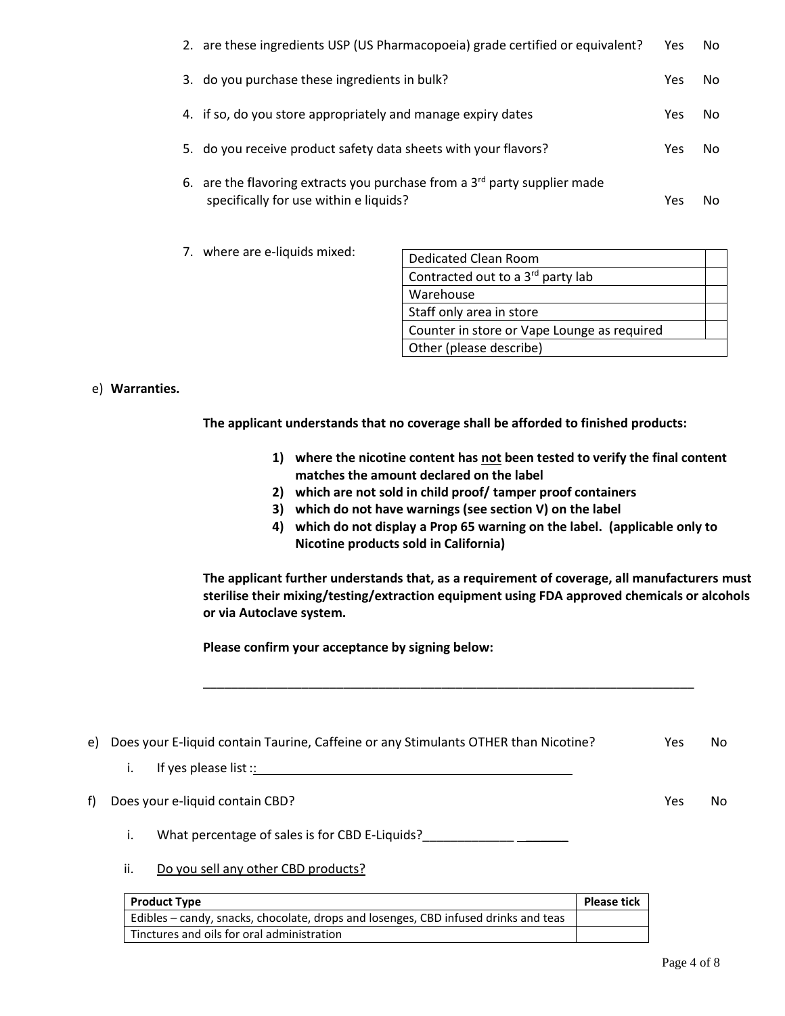| 2. are these ingredients USP (US Pharmacopoeia) grade certified or equivalent?                                        | Yes. | No. |
|-----------------------------------------------------------------------------------------------------------------------|------|-----|
| 3. do you purchase these ingredients in bulk?                                                                         | Yes. | No. |
| 4. if so, do you store appropriately and manage expiry dates                                                          | Yes. | No. |
| 5. do you receive product safety data sheets with your flavors?                                                       | Yes. | No. |
| 6. are the flavoring extracts you purchase from a $3rd$ party supplier made<br>specifically for use within e liquids? | Yes  | No. |

7. where are e-liquids mixed:

| Dedicated Clean Room                        |  |
|---------------------------------------------|--|
| Contracted out to a 3rd party lab           |  |
| Warehouse                                   |  |
| Staff only area in store                    |  |
| Counter in store or Vape Lounge as required |  |
| Other (please describe)                     |  |

#### e) **Warranties.**

**The applicant understands that no coverage shall be afforded to finished products:** 

- **1) where the nicotine content has not been tested to verify the final content matches the amount declared on the label**
- **2) which are not sold in child proof/ tamper proof containers**
- **3) which do not have warnings (see section V) on the label**

\_\_\_\_\_\_\_\_\_\_\_\_\_\_\_\_\_\_\_\_\_\_\_\_\_\_\_\_\_\_\_\_\_\_\_\_\_\_\_\_\_\_\_\_\_\_\_\_\_\_\_\_\_\_\_\_\_\_\_\_\_\_\_\_\_\_\_\_\_\_

**4) which do not display a Prop 65 warning on the label. (applicable only to Nicotine products sold in California)**

**The applicant further understands that, as a requirement of coverage, all manufacturers must sterilise their mixing/testing/extraction equipment using FDA approved chemicals or alcohols or via Autoclave system.** 

**Please confirm your acceptance by signing below:** 

| e) | Does your E-liquid contain Taurine, Caffeine or any Stimulants OTHER than Nicotine? | Yes | No |
|----|-------------------------------------------------------------------------------------|-----|----|
|    | If yes please list $::$<br>i.                                                       |     |    |
| f) | Does your e-liquid contain CBD?                                                     | Yes | No |
|    | What percentage of sales is for CBD E-Liquids?                                      |     |    |

ii. Do you sell any other CBD products?

| <b>Product Type</b>                                                                 | <b>Please tick</b> |
|-------------------------------------------------------------------------------------|--------------------|
| Edibles – candy, snacks, chocolate, drops and losenges, CBD infused drinks and teas |                    |
| Tinctures and oils for oral administration                                          |                    |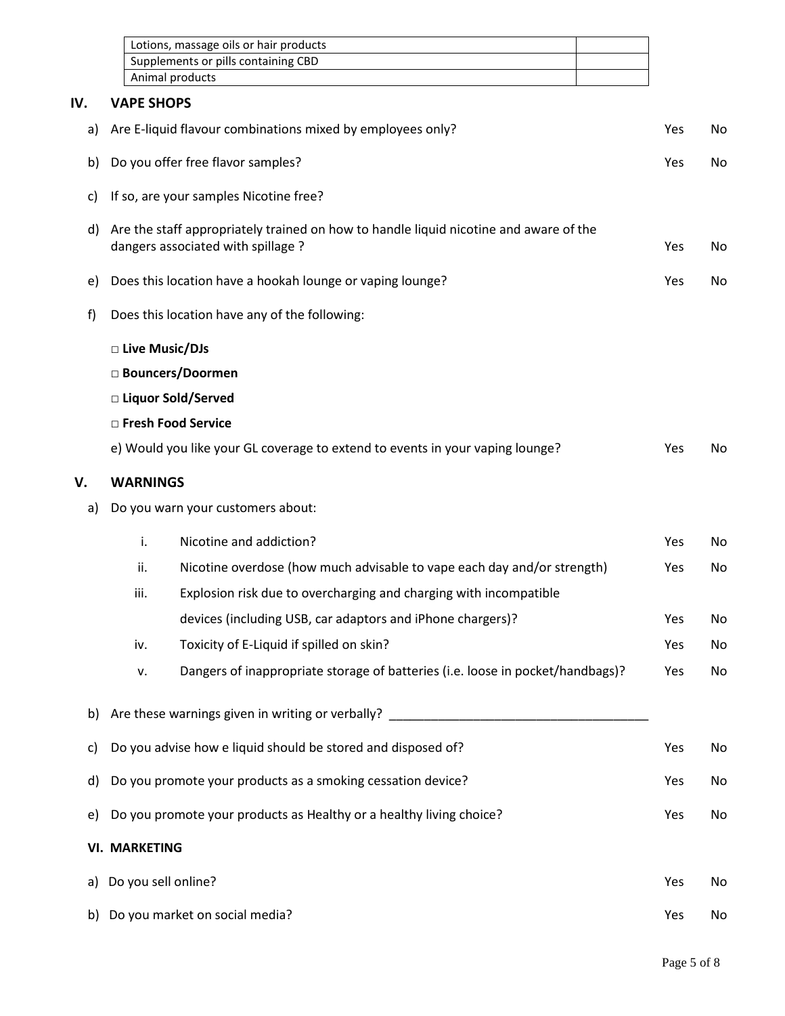|     |                                                                                   | Lotions, massage oils or hair products                                                                                      |     |     |
|-----|-----------------------------------------------------------------------------------|-----------------------------------------------------------------------------------------------------------------------------|-----|-----|
|     |                                                                                   | Supplements or pills containing CBD                                                                                         |     |     |
|     |                                                                                   | Animal products                                                                                                             |     |     |
| IV. | <b>VAPE SHOPS</b>                                                                 |                                                                                                                             |     |     |
| a)  |                                                                                   | Are E-liquid flavour combinations mixed by employees only?                                                                  | Yes | No. |
| b)  |                                                                                   | Do you offer free flavor samples?                                                                                           | Yes | No. |
| c)  |                                                                                   | If so, are your samples Nicotine free?                                                                                      |     |     |
| d)  |                                                                                   | Are the staff appropriately trained on how to handle liquid nicotine and aware of the<br>dangers associated with spillage ? | Yes | No. |
| e)  |                                                                                   | Does this location have a hookah lounge or vaping lounge?                                                                   | Yes | No. |
| f)  |                                                                                   | Does this location have any of the following:                                                                               |     |     |
|     | □ Live Music/DJs                                                                  |                                                                                                                             |     |     |
|     |                                                                                   | □ Bouncers/Doormen                                                                                                          |     |     |
|     |                                                                                   | □ Liquor Sold/Served                                                                                                        |     |     |
|     |                                                                                   | □ Fresh Food Service                                                                                                        |     |     |
|     |                                                                                   | e) Would you like your GL coverage to extend to events in your vaping lounge?                                               | Yes | No. |
| V.  | <b>WARNINGS</b>                                                                   |                                                                                                                             |     |     |
| a)  |                                                                                   | Do you warn your customers about:                                                                                           |     |     |
|     | i.                                                                                | Nicotine and addiction?                                                                                                     | Yes | No  |
|     | ii.                                                                               | Nicotine overdose (how much advisable to vape each day and/or strength)                                                     | Yes | No  |
|     | iii.                                                                              | Explosion risk due to overcharging and charging with incompatible                                                           |     |     |
|     |                                                                                   | devices (including USB, car adaptors and iPhone chargers)?                                                                  | Yes | No  |
|     | iv.                                                                               | Toxicity of E-Liquid if spilled on skin?                                                                                    | Yes | No  |
|     | ٧.                                                                                | Dangers of inappropriate storage of batteries (i.e. loose in pocket/handbags)?                                              | Yes | No  |
| b)  |                                                                                   | Are these warnings given in writing or verbally?                                                                            |     |     |
| c)  |                                                                                   | Do you advise how e liquid should be stored and disposed of?                                                                | Yes | No  |
| d)  | Do you promote your products as a smoking cessation device?                       |                                                                                                                             |     | No  |
| e)  | Yes<br>Do you promote your products as Healthy or a healthy living choice?<br>Yes |                                                                                                                             |     |     |
|     | <b>VI. MARKETING</b>                                                              |                                                                                                                             |     |     |
| a)  | Do you sell online?                                                               |                                                                                                                             | Yes | No  |
| b)  |                                                                                   | Do you market on social media?                                                                                              | Yes | No  |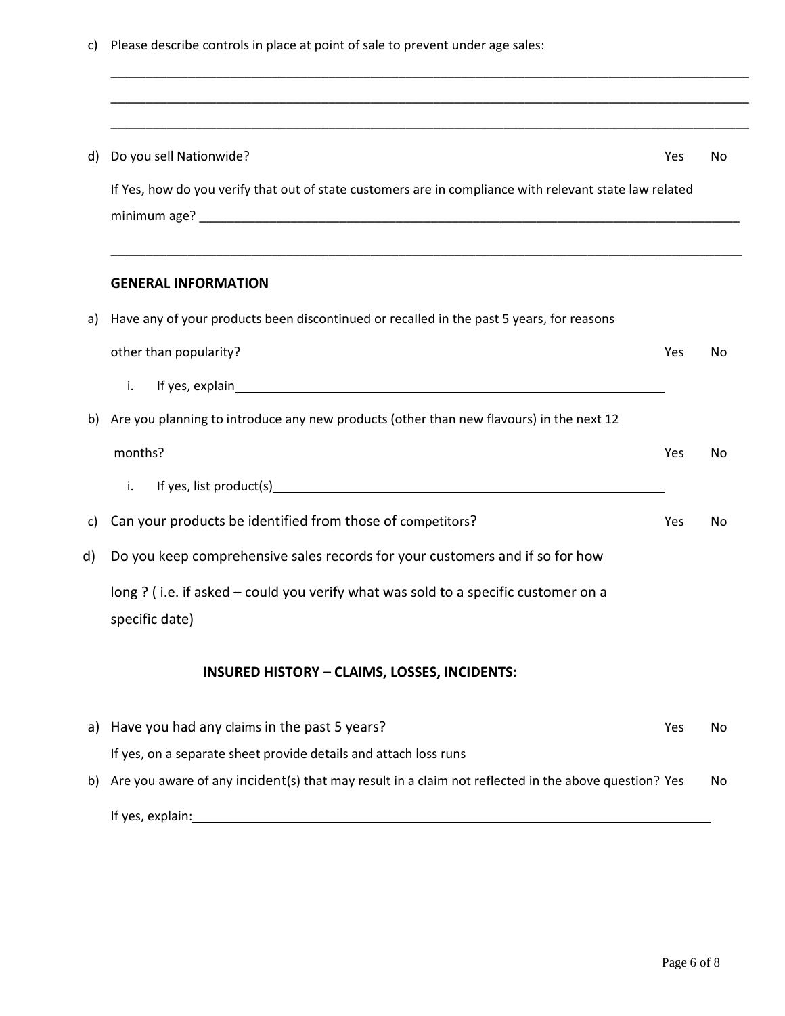|  |  |  |  |  | c) Please describe controls in place at point of sale to prevent under age sales: |
|--|--|--|--|--|-----------------------------------------------------------------------------------|
|--|--|--|--|--|-----------------------------------------------------------------------------------|

| Do you sell Nationwide?<br>d)<br>Yes<br>If Yes, how do you verify that out of state customers are in compliance with relevant state law related<br><b>GENERAL INFORMATION</b><br>Have any of your products been discontinued or recalled in the past 5 years, for reasons<br>other than popularity?<br>Yes<br>i.<br>Are you planning to introduce any new products (other than new flavours) in the next 12<br>months?<br>Yes<br>If yes, list product(s) example and the set of year and the set of year.<br>i.<br>Can your products be identified from those of competitors?<br>Yes<br>Do you keep comprehensive sales records for your customers and if so for how<br>long ? (i.e. if asked – could you verify what was sold to a specific customer on a<br>specific date)<br><b>INSURED HISTORY - CLAIMS, LOSSES, INCIDENTS:</b><br>Have you had any claims in the past 5 years?<br>Yes<br>If yes, on a separate sheet provide details and attach loss runs |    |                                                                                                      |     |
|----------------------------------------------------------------------------------------------------------------------------------------------------------------------------------------------------------------------------------------------------------------------------------------------------------------------------------------------------------------------------------------------------------------------------------------------------------------------------------------------------------------------------------------------------------------------------------------------------------------------------------------------------------------------------------------------------------------------------------------------------------------------------------------------------------------------------------------------------------------------------------------------------------------------------------------------------------------|----|------------------------------------------------------------------------------------------------------|-----|
|                                                                                                                                                                                                                                                                                                                                                                                                                                                                                                                                                                                                                                                                                                                                                                                                                                                                                                                                                                |    |                                                                                                      |     |
|                                                                                                                                                                                                                                                                                                                                                                                                                                                                                                                                                                                                                                                                                                                                                                                                                                                                                                                                                                |    |                                                                                                      | No. |
|                                                                                                                                                                                                                                                                                                                                                                                                                                                                                                                                                                                                                                                                                                                                                                                                                                                                                                                                                                |    |                                                                                                      |     |
|                                                                                                                                                                                                                                                                                                                                                                                                                                                                                                                                                                                                                                                                                                                                                                                                                                                                                                                                                                |    |                                                                                                      |     |
|                                                                                                                                                                                                                                                                                                                                                                                                                                                                                                                                                                                                                                                                                                                                                                                                                                                                                                                                                                | a) |                                                                                                      |     |
|                                                                                                                                                                                                                                                                                                                                                                                                                                                                                                                                                                                                                                                                                                                                                                                                                                                                                                                                                                |    |                                                                                                      | No  |
|                                                                                                                                                                                                                                                                                                                                                                                                                                                                                                                                                                                                                                                                                                                                                                                                                                                                                                                                                                |    |                                                                                                      |     |
|                                                                                                                                                                                                                                                                                                                                                                                                                                                                                                                                                                                                                                                                                                                                                                                                                                                                                                                                                                | b) |                                                                                                      |     |
|                                                                                                                                                                                                                                                                                                                                                                                                                                                                                                                                                                                                                                                                                                                                                                                                                                                                                                                                                                |    |                                                                                                      | No  |
|                                                                                                                                                                                                                                                                                                                                                                                                                                                                                                                                                                                                                                                                                                                                                                                                                                                                                                                                                                |    |                                                                                                      |     |
|                                                                                                                                                                                                                                                                                                                                                                                                                                                                                                                                                                                                                                                                                                                                                                                                                                                                                                                                                                | C) |                                                                                                      | No  |
|                                                                                                                                                                                                                                                                                                                                                                                                                                                                                                                                                                                                                                                                                                                                                                                                                                                                                                                                                                | d) |                                                                                                      |     |
|                                                                                                                                                                                                                                                                                                                                                                                                                                                                                                                                                                                                                                                                                                                                                                                                                                                                                                                                                                |    |                                                                                                      |     |
|                                                                                                                                                                                                                                                                                                                                                                                                                                                                                                                                                                                                                                                                                                                                                                                                                                                                                                                                                                |    |                                                                                                      |     |
|                                                                                                                                                                                                                                                                                                                                                                                                                                                                                                                                                                                                                                                                                                                                                                                                                                                                                                                                                                | a) |                                                                                                      | No  |
|                                                                                                                                                                                                                                                                                                                                                                                                                                                                                                                                                                                                                                                                                                                                                                                                                                                                                                                                                                |    |                                                                                                      |     |
|                                                                                                                                                                                                                                                                                                                                                                                                                                                                                                                                                                                                                                                                                                                                                                                                                                                                                                                                                                | b) | Are you aware of any incident(s) that may result in a claim not reflected in the above question? Yes | No. |

If yes, explain: 15 yes, explain: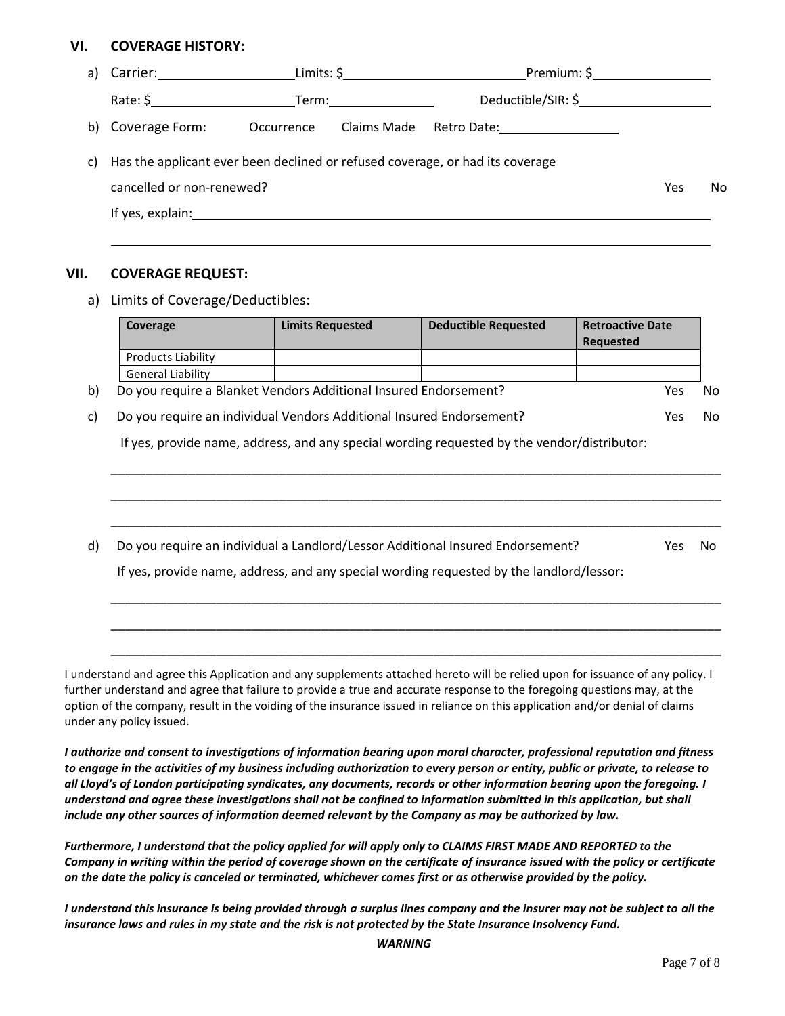## **VI. COVERAGE HISTORY:**

| a) |                                                                                                                                                                                                                                |            |             | Limits: $\frac{\xi_{\text{max}}}{\xi_{\text{max}}}-\frac{\xi_{\text{max}}}{\xi_{\text{max}}}-\frac{\xi_{\text{max}}}{\xi_{\text{max}}}-\frac{\xi_{\text{max}}}{\xi_{\text{max}}}-\frac{\xi_{\text{max}}}{\xi_{\text{max}}}-\frac{\xi_{\text{max}}}{\xi_{\text{max}}}-\frac{\xi_{\text{max}}}{\xi_{\text{max}}}-\frac{\xi_{\text{max}}}{\xi_{\text{max}}}-\frac{\xi_{\text{max}}}{\xi_{\text{max}}}-\frac{\xi_{\text{max}}}{\xi_{\text{max}}}-\frac{\xi_{\text{max}}}{\$ | Premium: $\zeta$ __________________ |    |
|----|--------------------------------------------------------------------------------------------------------------------------------------------------------------------------------------------------------------------------------|------------|-------------|-------------------------------------------------------------------------------------------------------------------------------------------------------------------------------------------------------------------------------------------------------------------------------------------------------------------------------------------------------------------------------------------------------------------------------------------------------------------------|-------------------------------------|----|
|    | Rate: \$                                                                                                                                                                                                                       |            | Term: Term: | Deductible/SIR: \$______________________                                                                                                                                                                                                                                                                                                                                                                                                                                |                                     |    |
| b) | Coverage Form:                                                                                                                                                                                                                 | Occurrence | Claims Made | Retro Date: ___________________                                                                                                                                                                                                                                                                                                                                                                                                                                         |                                     |    |
| C) | Has the applicant ever been declined or refused coverage, or had its coverage                                                                                                                                                  |            |             |                                                                                                                                                                                                                                                                                                                                                                                                                                                                         |                                     |    |
|    | cancelled or non-renewed?                                                                                                                                                                                                      |            |             |                                                                                                                                                                                                                                                                                                                                                                                                                                                                         | Yes                                 | No |
|    | If yes, explain: The same state of the state of the state of the state of the state of the state of the state of the state of the state of the state of the state of the state of the state of the state of the state of the s |            |             |                                                                                                                                                                                                                                                                                                                                                                                                                                                                         |                                     |    |
|    |                                                                                                                                                                                                                                |            |             |                                                                                                                                                                                                                                                                                                                                                                                                                                                                         |                                     |    |

#### **VII. COVERAGE REQUEST:**

a) Limits of Coverage/Deductibles:

| Coverage                  | <b>Limits Requested</b>                                              | <b>Deductible Requested</b>                                                                 | <b>Retroactive Date</b><br><b>Requested</b> |     |
|---------------------------|----------------------------------------------------------------------|---------------------------------------------------------------------------------------------|---------------------------------------------|-----|
| <b>Products Liability</b> |                                                                      |                                                                                             |                                             |     |
| <b>General Liability</b>  |                                                                      |                                                                                             |                                             |     |
|                           | Do you require a Blanket Vendors Additional Insured Endorsement?     |                                                                                             | <b>Yes</b>                                  | No  |
|                           | Do you require an individual Vendors Additional Insured Endorsement? |                                                                                             | Yes                                         | No. |
|                           |                                                                      | If yes, provide name, address, and any special wording requested by the vendor/distributor: |                                             |     |
|                           |                                                                      |                                                                                             |                                             |     |
|                           |                                                                      |                                                                                             |                                             |     |
|                           |                                                                      | Do you require an individual a Landlord/Lessor Additional Insured Endorsement?              | Yes.                                        | No. |
|                           |                                                                      | If yes, provide name, address, and any special wording requested by the landlord/lessor:    |                                             |     |

\_\_\_\_\_\_\_\_\_\_\_\_\_\_\_\_\_\_\_\_\_\_\_\_\_\_\_\_\_\_\_\_\_\_\_\_\_\_\_\_\_\_\_\_\_\_\_\_\_\_\_\_\_\_\_\_\_\_\_\_\_\_\_\_\_\_\_\_\_\_\_\_\_\_\_\_\_\_\_\_\_\_\_\_\_\_\_

\_\_\_\_\_\_\_\_\_\_\_\_\_\_\_\_\_\_\_\_\_\_\_\_\_\_\_\_\_\_\_\_\_\_\_\_\_\_\_\_\_\_\_\_\_\_\_\_\_\_\_\_\_\_\_\_\_\_\_\_\_\_\_\_\_\_\_\_\_\_\_\_\_\_\_\_\_\_\_\_\_\_\_\_\_\_\_

\_\_\_\_\_\_\_\_\_\_\_\_\_\_\_\_\_\_\_\_\_\_\_\_\_\_\_\_\_\_\_\_\_\_\_\_\_\_\_\_\_\_\_\_\_\_\_\_\_\_\_\_\_\_\_\_\_\_\_\_\_\_\_\_\_\_\_\_\_\_\_\_\_\_\_\_\_\_\_\_\_\_\_\_\_\_\_

I understand and agree this Application and any supplements attached hereto will be relied upon for issuance of any policy. I further understand and agree that failure to provide a true and accurate response to the foregoing questions may, at the option of the company, result in the voiding of the insurance issued in reliance on this application and/or denial of claims under any policy issued.

*I authorize and consent to investigations of information bearing upon moral character, professional reputation and fitness to engage in the activities of my business including authorization to every person or entity, public or private, to release to all Lloyd's of London participating syndicates, any documents, records or other information bearing upon the foregoing. I understand and agree these investigations shall not be confined to information submitted in this application, but shall include any other sources of information deemed relevant by the Company as may be authorized by law.* 

*Furthermore, I understand that the policy applied for will apply only to CLAIMS FIRST MADE AND REPORTED to the Company in writing within the period of coverage shown on the certificate of insurance issued with the policy or certificate on the date the policy is canceled or terminated, whichever comes first or as otherwise provided by the policy.* 

*I understand this insurance is being provided through a surplus lines company and the insurer may not be subject to all the insurance laws and rules in my state and the risk is not protected by the State Insurance Insolvency Fund.*

*WARNING*